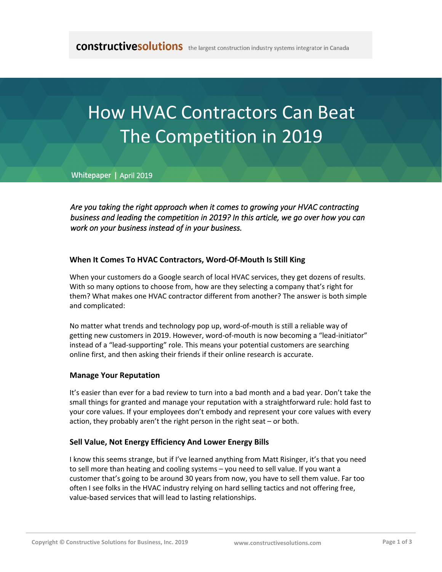# How HVAC Contractors Can Beat The Competition in 2019

**Whitepaper |** April 2019

*Are you taking the right approach when it comes to growing your HVAC contracting business and leading the competition in 2019? In this article, we go over how you can work on your business instead of in your business.*

## **When It Comes To HVAC Contractors, Word-Of-Mouth Is Still King**

When your customers do a Google search of local HVAC services, they get dozens of results. With so many options to choose from, how are they selecting a company that's right for them? What makes one HVAC contractor different from another? The answer is both simple and complicated:

No matter what trends and technology pop up, word-of-mouth is still a reliable way of getting new customers in 2019. However, word-of-mouth is now becoming a "lead-initiator" instead of a "lead-supporting" role. This means your potential customers are searching online first, and then asking their friends if their online research is accurate.

#### **Manage Your Reputation**

It's easier than ever for a bad review to turn into a bad month and a bad year. Don't take the small things for granted and manage your reputation with a straightforward rule: hold fast to your core values. If your employees don't embody and represent your core values with every action, they probably aren't the right person in the right seat – or both.

#### **Sell Value, Not Energy Efficiency And Lower Energy Bills**

I know this seems strange, [but if I've learned anything from Matt Risinger,](http://mattrisinger.com/category/hvac-2/) it's that you need to sell more than heating and cooling systems – you need to sell value. If you want a customer that's going to be around 30 years from now, you have to sell them value. Far too often I see folks in the HVAC industry relying on hard selling tactics and not offering free, value-based services that will lead to lasting relationships.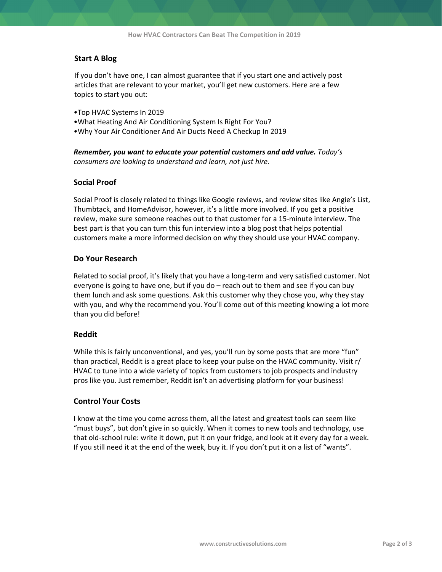# **Start A Blog**

If you don't have one, I can almost guarantee that if you start one and actively post articles that are relevant to your market, you'll get new customers. Here are a few topics to start you out:

- •Top HVAC Systems In 2019
- •What Heating And Air Conditioning System Is Right For You?
- •Why Your Air Conditioner And Air Ducts Need A Checkup In 2019

*Remember, you want to educate your potential customers and add value. Today's consumers are looking to understand and learn, not just hire.*

#### **Social Proof**

Social Proof is closely related to things like Google reviews, and review sites like Angie's List, Thumbtack, and HomeAdvisor, however, it's a little more involved. If you get a positive review, make sure someone reaches out to that customer for a 15-minute interview. The best part is that you can turn this fun interview into a blog post that helps potential customers make a more informed decision on why they should use your HVAC company.

#### **Do Your Research**

Related to social proof, it's likely that you have a long-term and very satisfied customer. Not everyone is going to have one, but if you do – reach out to them and see if you can buy them lunch and ask some questions. Ask this customer why they chose you, why they stay with you, and why the recommend you. You'll come out of this meeting knowing a lot more than you did before!

#### **Reddit**

While this is fairly unconventional, and yes, you'll run by some posts that are more "fun" than practical, Reddit is a great place to keep your pulse on the HVAC community. Visit r/ HVAC to tune into a wide variety of topics from customers to job prospects and industry pros like you. Just remember, Reddit isn't an advertising platform for your business!

#### **Control Your Costs**

I know at the time you come across them, all the latest and greatest tools can seem like "must buys", but don't give in so quickly. When it comes to new tools and technology, use that old-school rule: write it down, put it on your fridge, and look at it every day for a week. If you still need it at the end of the week, buy it. If you don't put it on a list of "wants".